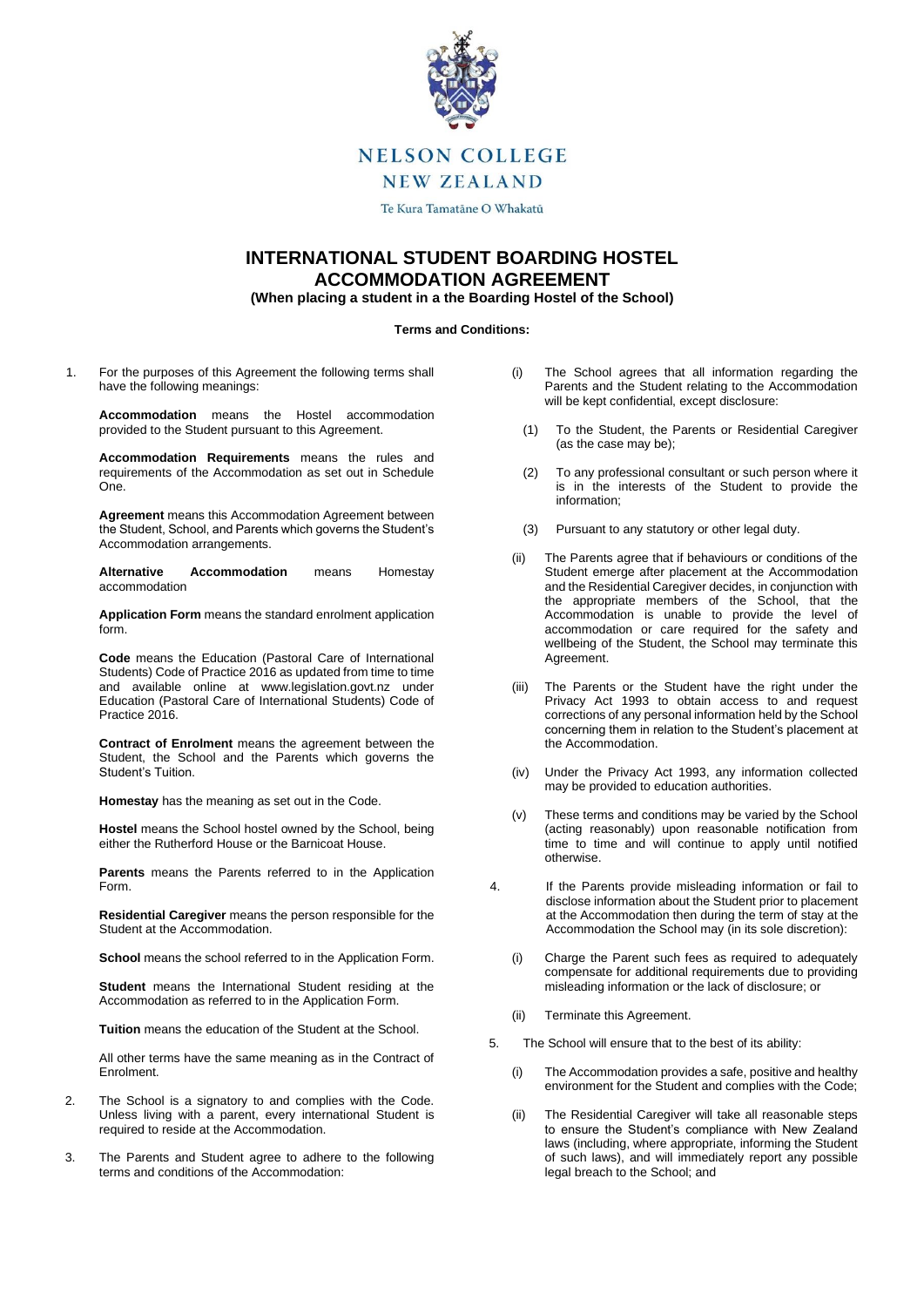

# **NELSON COLLEGE**

**NEW ZEALAND** 

Te Kura Tamatāne O Whakatū

## **INTERNATIONAL STUDENT BOARDING HOSTEL ACCOMMODATION AGREEMENT**

**(When placing a student in a the Boarding Hostel of the School)**

#### **Terms and Conditions:**

1. For the purposes of this Agreement the following terms shall have the following meanings:

**Accommodation** means the Hostel accommodation provided to the Student pursuant to this Agreement.

**Accommodation Requirements** means the rules and requirements of the Accommodation as set out in Schedule One.

**Agreement** means this Accommodation Agreement between the Student, School, and Parents which governs the Student's Accommodation arrangements.

**Alternative Accommodation** means Homestay accommodation

**Application Form** means the standard enrolment application form.

**Code** means the Education (Pastoral Care of International Students) Code of Practice 2016 as updated from time to time and available online at www.legislation.govt.nz under Education (Pastoral Care of International Students) Code of Practice 2016.

**Contract of Enrolment** means the agreement between the Student, the School and the Parents which governs the Student's Tuition.

**Homestay** has the meaning as set out in the Code.

**Hostel** means the School hostel owned by the School, being either the Rutherford House or the Barnicoat House.

**Parents** means the Parents referred to in the Application Form.

**Residential Caregiver** means the person responsible for the Student at the Accommodation.

**School** means the school referred to in the Application Form.

**Student** means the International Student residing at the Accommodation as referred to in the Application Form.

**Tuition** means the education of the Student at the School.

All other terms have the same meaning as in the Contract of Enrolment.

- 2. The School is a signatory to and complies with the Code. Unless living with a parent, every international Student is required to reside at the Accommodation.
- 3. The Parents and Student agree to adhere to the following terms and conditions of the Accommodation:
- (i) The School agrees that all information regarding the Parents and the Student relating to the Accommodation will be kept confidential, except disclosure:
	- (1) To the Student, the Parents or Residential Caregiver (as the case may be);
	- (2) To any professional consultant or such person where it is in the interests of the Student to provide the information;
	- (3) Pursuant to any statutory or other legal duty.
- (ii) The Parents agree that if behaviours or conditions of the Student emerge after placement at the Accommodation and the Residential Caregiver decides, in conjunction with the appropriate members of the School, that the Accommodation is unable to provide the level of accommodation or care required for the safety and wellbeing of the Student, the School may terminate this Agreement.
- (iii) The Parents or the Student have the right under the Privacy Act 1993 to obtain access to and request corrections of any personal information held by the School concerning them in relation to the Student's placement at the Accommodation.
- (iv) Under the Privacy Act 1993, any information collected may be provided to education authorities.
- (v) These terms and conditions may be varied by the School (acting reasonably) upon reasonable notification from time to time and will continue to apply until notified otherwise.
- 4. If the Parents provide misleading information or fail to disclose information about the Student prior to placement at the Accommodation then during the term of stay at the Accommodation the School may (in its sole discretion):
	- (i) Charge the Parent such fees as required to adequately compensate for additional requirements due to providing misleading information or the lack of disclosure; or
	- (ii) Terminate this Agreement.
- 5. The School will ensure that to the best of its ability:
	- (i) The Accommodation provides a safe, positive and healthy environment for the Student and complies with the Code;
	- (ii) The Residential Caregiver will take all reasonable steps to ensure the Student's compliance with New Zealand laws (including, where appropriate, informing the Student of such laws), and will immediately report any possible legal breach to the School; and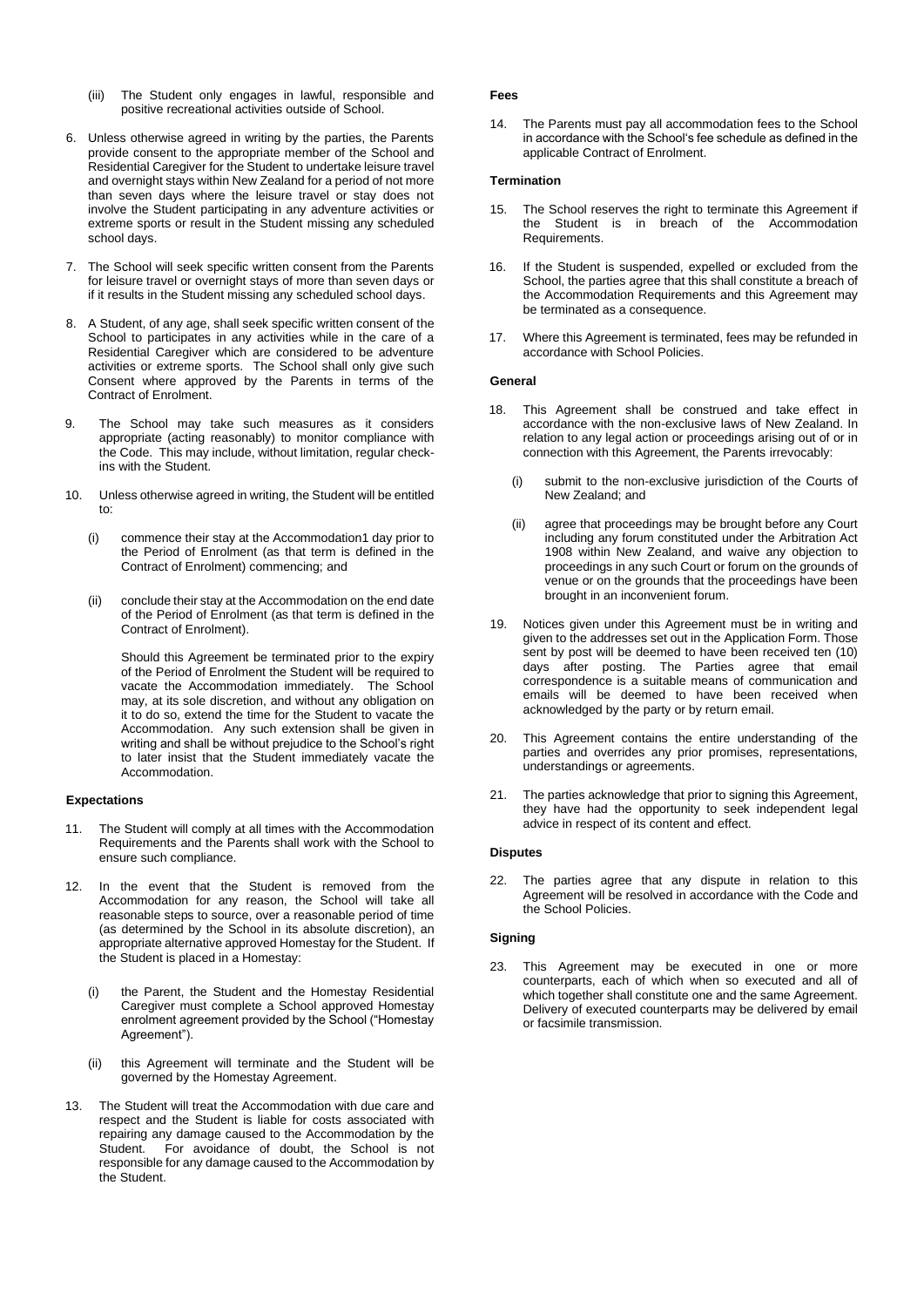- (iii) The Student only engages in lawful, responsible and positive recreational activities outside of School.
- 6. Unless otherwise agreed in writing by the parties, the Parents provide consent to the appropriate member of the School and Residential Caregiver for the Student to undertake leisure travel and overnight stays within New Zealand for a period of not more than seven days where the leisure travel or stay does not involve the Student participating in any adventure activities or extreme sports or result in the Student missing any scheduled school days.
- 7. The School will seek specific written consent from the Parents for leisure travel or overnight stays of more than seven days or if it results in the Student missing any scheduled school days.
- 8. A Student, of any age, shall seek specific written consent of the School to participates in any activities while in the care of a Residential Caregiver which are considered to be adventure activities or extreme sports. The School shall only give such Consent where approved by the Parents in terms of the Contract of Enrolment.
- 9. The School may take such measures as it considers appropriate (acting reasonably) to monitor compliance with the Code. This may include, without limitation, regular checkins with the Student.
- 10. Unless otherwise agreed in writing, the Student will be entitled to:
	- (i) commence their stay at the Accommodation1 day prior to the Period of Enrolment (as that term is defined in the Contract of Enrolment) commencing; and
	- (ii) conclude their stay at the Accommodation on the end date of the Period of Enrolment (as that term is defined in the Contract of Enrolment).

Should this Agreement be terminated prior to the expiry of the Period of Enrolment the Student will be required to vacate the Accommodation immediately. The School may, at its sole discretion, and without any obligation on it to do so, extend the time for the Student to vacate the Accommodation. Any such extension shall be given in writing and shall be without prejudice to the School's right to later insist that the Student immediately vacate the Accommodation.

#### **Expectations**

- 11. The Student will comply at all times with the Accommodation Requirements and the Parents shall work with the School to ensure such compliance.
- 12. In the event that the Student is removed from the Accommodation for any reason, the School will take all reasonable steps to source, over a reasonable period of time (as determined by the School in its absolute discretion), an appropriate alternative approved Homestay for the Student. If the Student is placed in a Homestay:
	- (i) the Parent, the Student and the Homestay Residential Caregiver must complete a School approved Homestay enrolment agreement provided by the School ("Homestay Agreement").
	- (ii) this Agreement will terminate and the Student will be governed by the Homestay Agreement.
- 13. The Student will treat the Accommodation with due care and respect and the Student is liable for costs associated with repairing any damage caused to the Accommodation by the Student. For avoidance of doubt, the School is not responsible for any damage caused to the Accommodation by the Student.

### **Fees**

14. The Parents must pay all accommodation fees to the School in accordance with the School's fee schedule as defined in the applicable Contract of Enrolment.

#### **Termination**

- 15. The School reserves the right to terminate this Agreement if the Student is in breach of the Accommodation Requirements.
- 16. If the Student is suspended, expelled or excluded from the School, the parties agree that this shall constitute a breach of the Accommodation Requirements and this Agreement may be terminated as a consequence.
- 17. Where this Agreement is terminated, fees may be refunded in accordance with School Policies.

#### **General**

- 18. This Agreement shall be construed and take effect in accordance with the non-exclusive laws of New Zealand. In relation to any legal action or proceedings arising out of or in connection with this Agreement, the Parents irrevocably:
	- (i) submit to the non-exclusive jurisdiction of the Courts of New Zealand; and
	- (ii) agree that proceedings may be brought before any Court including any forum constituted under the Arbitration Act 1908 within New Zealand, and waive any objection to proceedings in any such Court or forum on the grounds of venue or on the grounds that the proceedings have been brought in an inconvenient forum.
- 19. Notices given under this Agreement must be in writing and given to the addresses set out in the Application Form. Those sent by post will be deemed to have been received ten (10) days after posting. The Parties agree that email correspondence is a suitable means of communication and emails will be deemed to have been received when acknowledged by the party or by return email.
- 20. This Agreement contains the entire understanding of the parties and overrides any prior promises, representations, understandings or agreements.
- 21. The parties acknowledge that prior to signing this Agreement, they have had the opportunity to seek independent legal advice in respect of its content and effect.

#### **Disputes**

22. The parties agree that any dispute in relation to this Agreement will be resolved in accordance with the Code and the School Policies.

#### **Signing**

23. This Agreement may be executed in one or more counterparts, each of which when so executed and all of which together shall constitute one and the same Agreement. Delivery of executed counterparts may be delivered by email or facsimile transmission.